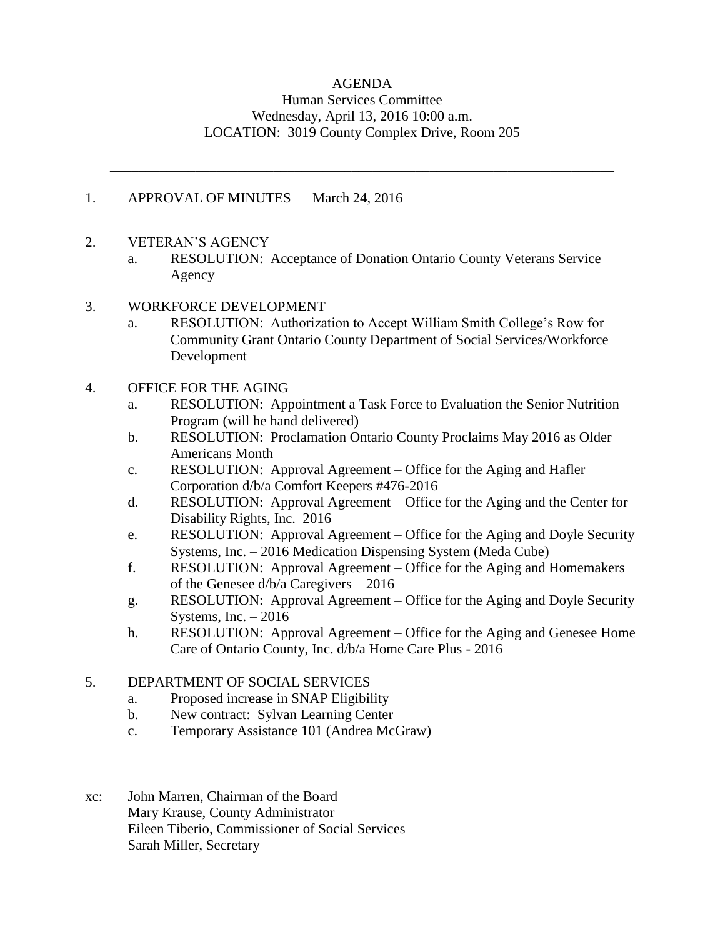## AGENDA Human Services Committee Wednesday, April 13, 2016 10:00 a.m. LOCATION: 3019 County Complex Drive, Room 205

\_\_\_\_\_\_\_\_\_\_\_\_\_\_\_\_\_\_\_\_\_\_\_\_\_\_\_\_\_\_\_\_\_\_\_\_\_\_\_\_\_\_\_\_\_\_\_\_\_\_\_\_\_\_\_\_\_\_\_\_\_\_\_\_\_\_\_\_\_\_\_

## 1. APPROVAL OF MINUTES – March 24, 2016

- 2. VETERAN'S AGENCY
	- a. RESOLUTION: Acceptance of Donation Ontario County Veterans Service Agency
- 3. WORKFORCE DEVELOPMENT
	- a. RESOLUTION: Authorization to Accept William Smith College's Row for Community Grant Ontario County Department of Social Services/Workforce Development
- 4. OFFICE FOR THE AGING
	- a. RESOLUTION: Appointment a Task Force to Evaluation the Senior Nutrition Program (will he hand delivered)
	- b. RESOLUTION: Proclamation Ontario County Proclaims May 2016 as Older Americans Month
	- c. RESOLUTION: Approval Agreement Office for the Aging and Hafler Corporation d/b/a Comfort Keepers #476-2016
	- d. RESOLUTION: Approval Agreement Office for the Aging and the Center for Disability Rights, Inc. 2016
	- e. RESOLUTION: Approval Agreement Office for the Aging and Doyle Security Systems, Inc. – 2016 Medication Dispensing System (Meda Cube)
	- f. RESOLUTION: Approval Agreement Office for the Aging and Homemakers of the Genesee d/b/a Caregivers – 2016
	- g. RESOLUTION: Approval Agreement Office for the Aging and Doyle Security Systems, Inc.  $-2016$
	- h. RESOLUTION: Approval Agreement Office for the Aging and Genesee Home Care of Ontario County, Inc. d/b/a Home Care Plus - 2016

#### 5. DEPARTMENT OF SOCIAL SERVICES

- a. Proposed increase in SNAP Eligibility
- b. New contract: Sylvan Learning Center
- c. Temporary Assistance 101 (Andrea McGraw)
- xc: John Marren, Chairman of the Board Mary Krause, County Administrator Eileen Tiberio, Commissioner of Social Services Sarah Miller, Secretary